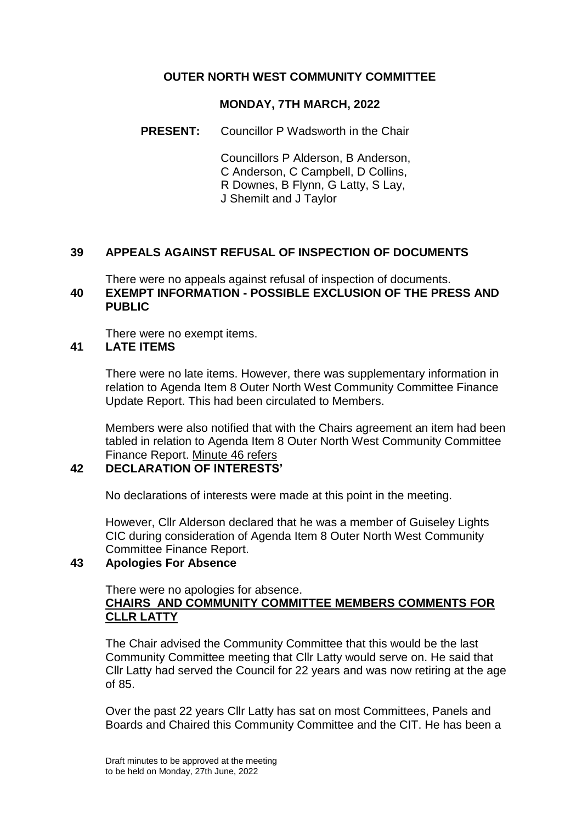# **OUTER NORTH WEST COMMUNITY COMMITTEE**

## **MONDAY, 7TH MARCH, 2022**

**PRESENT:** Councillor P Wadsworth in the Chair

Councillors P Alderson, B Anderson, C Anderson, C Campbell, D Collins, R Downes, B Flynn, G Latty, S Lay, J Shemilt and J Taylor

## **39 APPEALS AGAINST REFUSAL OF INSPECTION OF DOCUMENTS**

There were no appeals against refusal of inspection of documents. **40 EXEMPT INFORMATION - POSSIBLE EXCLUSION OF THE PRESS AND PUBLIC**

There were no exempt items.

#### **41 LATE ITEMS**

There were no late items. However, there was supplementary information in relation to Agenda Item 8 Outer North West Community Committee Finance Update Report. This had been circulated to Members.

Members were also notified that with the Chairs agreement an item had been tabled in relation to Agenda Item 8 Outer North West Community Committee Finance Report. Minute 46 refers

## **42 DECLARATION OF INTERESTS'**

No declarations of interests were made at this point in the meeting.

However, Cllr Alderson declared that he was a member of Guiseley Lights CIC during consideration of Agenda Item 8 Outer North West Community Committee Finance Report.

## **43 Apologies For Absence**

There were no apologies for absence.

# **CHAIRS AND COMMUNITY COMMITTEE MEMBERS COMMENTS FOR CLLR LATTY**

The Chair advised the Community Committee that this would be the last Community Committee meeting that Cllr Latty would serve on. He said that Cllr Latty had served the Council for 22 years and was now retiring at the age of 85.

Over the past 22 years Cllr Latty has sat on most Committees, Panels and Boards and Chaired this Community Committee and the CIT. He has been a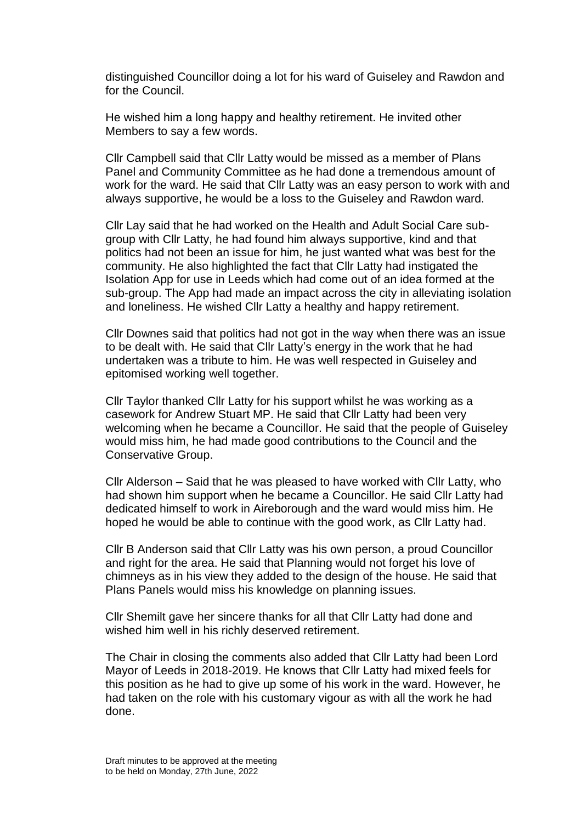distinguished Councillor doing a lot for his ward of Guiseley and Rawdon and for the Council.

He wished him a long happy and healthy retirement. He invited other Members to say a few words.

Cllr Campbell said that Cllr Latty would be missed as a member of Plans Panel and Community Committee as he had done a tremendous amount of work for the ward. He said that Cllr Latty was an easy person to work with and always supportive, he would be a loss to the Guiseley and Rawdon ward.

Cllr Lay said that he had worked on the Health and Adult Social Care subgroup with Cllr Latty, he had found him always supportive, kind and that politics had not been an issue for him, he just wanted what was best for the community. He also highlighted the fact that Cllr Latty had instigated the Isolation App for use in Leeds which had come out of an idea formed at the sub-group. The App had made an impact across the city in alleviating isolation and loneliness. He wished Cllr Latty a healthy and happy retirement.

Cllr Downes said that politics had not got in the way when there was an issue to be dealt with. He said that Cllr Latty's energy in the work that he had undertaken was a tribute to him. He was well respected in Guiseley and epitomised working well together.

Cllr Taylor thanked Cllr Latty for his support whilst he was working as a casework for Andrew Stuart MP. He said that Cllr Latty had been very welcoming when he became a Councillor. He said that the people of Guiseley would miss him, he had made good contributions to the Council and the Conservative Group.

Cllr Alderson – Said that he was pleased to have worked with Cllr Latty, who had shown him support when he became a Councillor. He said Cllr Latty had dedicated himself to work in Aireborough and the ward would miss him. He hoped he would be able to continue with the good work, as Cllr Latty had.

Cllr B Anderson said that Cllr Latty was his own person, a proud Councillor and right for the area. He said that Planning would not forget his love of chimneys as in his view they added to the design of the house. He said that Plans Panels would miss his knowledge on planning issues.

Cllr Shemilt gave her sincere thanks for all that Cllr Latty had done and wished him well in his richly deserved retirement.

The Chair in closing the comments also added that Cllr Latty had been Lord Mayor of Leeds in 2018-2019. He knows that Cllr Latty had mixed feels for this position as he had to give up some of his work in the ward. However, he had taken on the role with his customary vigour as with all the work he had done.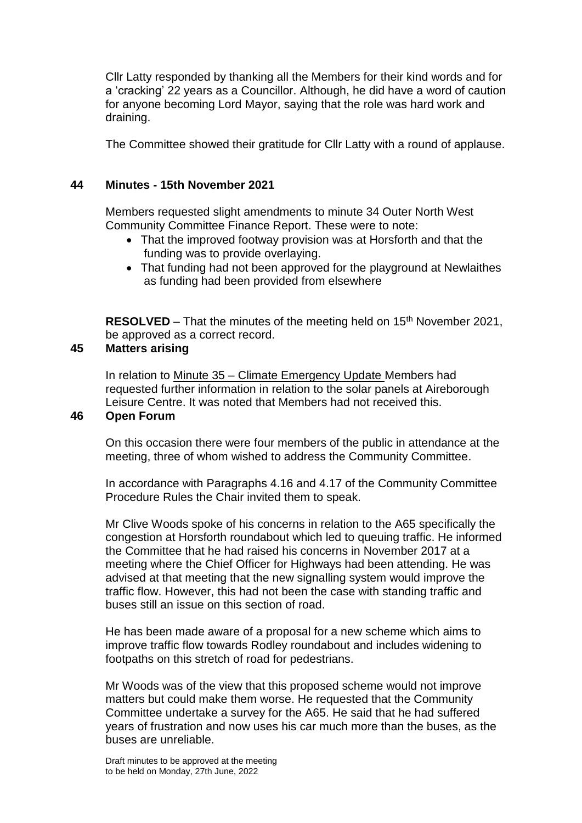Cllr Latty responded by thanking all the Members for their kind words and for a 'cracking' 22 years as a Councillor. Although, he did have a word of caution for anyone becoming Lord Mayor, saying that the role was hard work and draining.

The Committee showed their gratitude for Cllr Latty with a round of applause.

## **44 Minutes - 15th November 2021**

Members requested slight amendments to minute 34 Outer North West Community Committee Finance Report. These were to note:

- That the improved footway provision was at Horsforth and that the funding was to provide overlaying.
- That funding had not been approved for the playground at Newlaithes as funding had been provided from elsewhere

**RESOLVED** – That the minutes of the meeting held on 15<sup>th</sup> November 2021, be approved as a correct record.

## **45 Matters arising**

In relation to Minute 35 – Climate Emergency Update Members had requested further information in relation to the solar panels at Aireborough Leisure Centre. It was noted that Members had not received this.

## **46 Open Forum**

On this occasion there were four members of the public in attendance at the meeting, three of whom wished to address the Community Committee.

In accordance with Paragraphs 4.16 and 4.17 of the Community Committee Procedure Rules the Chair invited them to speak.

Mr Clive Woods spoke of his concerns in relation to the A65 specifically the congestion at Horsforth roundabout which led to queuing traffic. He informed the Committee that he had raised his concerns in November 2017 at a meeting where the Chief Officer for Highways had been attending. He was advised at that meeting that the new signalling system would improve the traffic flow. However, this had not been the case with standing traffic and buses still an issue on this section of road.

He has been made aware of a proposal for a new scheme which aims to improve traffic flow towards Rodley roundabout and includes widening to footpaths on this stretch of road for pedestrians.

Mr Woods was of the view that this proposed scheme would not improve matters but could make them worse. He requested that the Community Committee undertake a survey for the A65. He said that he had suffered years of frustration and now uses his car much more than the buses, as the buses are unreliable.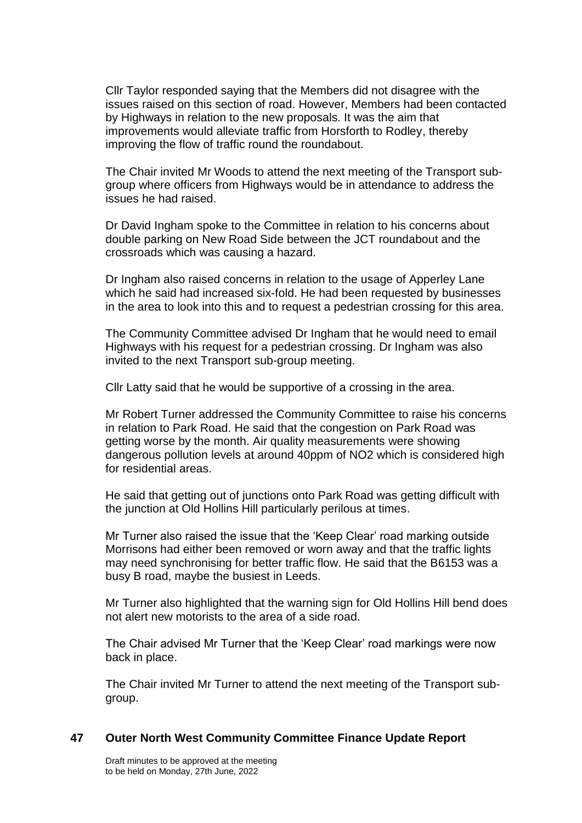Cllr Taylor responded saying that the Members did not disagree with the issues raised on this section of road. However, Members had been contacted by Highways in relation to the new proposals. It was the aim that improvements would alleviate traffic from Horsforth to Rodley, thereby improving the flow of traffic round the roundabout.

The Chair invited Mr Woods to attend the next meeting of the Transport subgroup where officers from Highways would be in attendance to address the issues he had raised.

Dr David Ingham spoke to the Committee in relation to his concerns about double parking on New Road Side between the JCT roundabout and the crossroads which was causing a hazard.

Dr Ingham also raised concerns in relation to the usage of Apperley Lane which he said had increased six-fold. He had been requested by businesses in the area to look into this and to request a pedestrian crossing for this area.

The Community Committee advised Dr Ingham that he would need to email Highways with his request for a pedestrian crossing. Dr Ingham was also invited to the next Transport sub-group meeting.

Cllr Latty said that he would be supportive of a crossing in the area.

Mr Robert Turner addressed the Community Committee to raise his concerns in relation to Park Road. He said that the congestion on Park Road was getting worse by the month. Air quality measurements were showing dangerous pollution levels at around 40ppm of NO2 which is considered high for residential areas.

He said that getting out of junctions onto Park Road was getting difficult with the junction at Old Hollins Hill particularly perilous at times.

Mr Turner also raised the issue that the 'Keep Clear' road marking outside Morrisons had either been removed or worn away and that the traffic lights may need synchronising for better traffic flow. He said that the B6153 was a busy B road, maybe the busiest in Leeds.

Mr Turner also highlighted that the warning sign for Old Hollins Hill bend does not alert new motorists to the area of a side road.

The Chair advised Mr Turner that the 'Keep Clear' road markings were now back in place.

The Chair invited Mr Turner to attend the next meeting of the Transport subgroup.

#### **47 Outer North West Community Committee Finance Update Report**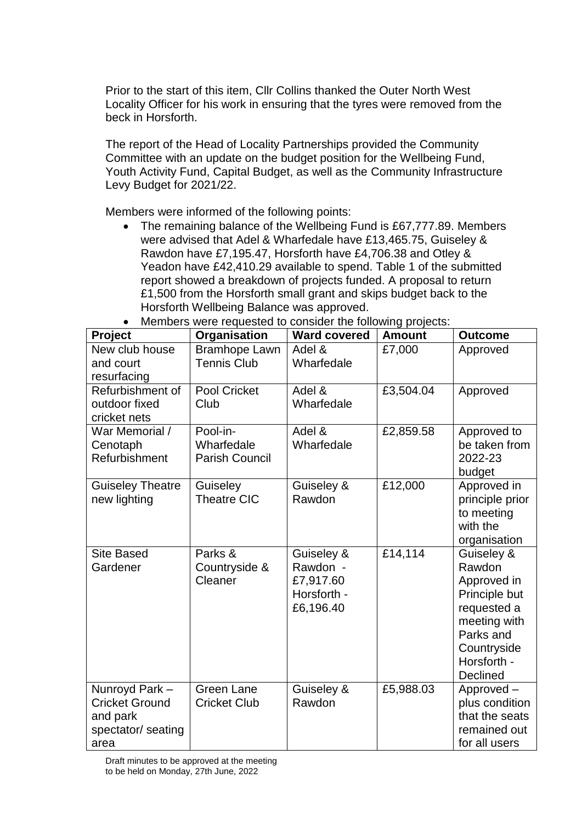Prior to the start of this item, Cllr Collins thanked the Outer North West Locality Officer for his work in ensuring that the tyres were removed from the beck in Horsforth.

The report of the Head of Locality Partnerships provided the Community Committee with an update on the budget position for the Wellbeing Fund, Youth Activity Fund, Capital Budget, as well as the Community Infrastructure Levy Budget for 2021/22.

Members were informed of the following points:

• The remaining balance of the Wellbeing Fund is £67,777.89. Members were advised that Adel & Wharfedale have £13,465.75, Guiseley & Rawdon have £7,195.47, Horsforth have £4,706.38 and Otley & Yeadon have £42,410.29 available to spend. Table 1 of the submitted report showed a breakdown of projects funded. A proposal to return £1,500 from the Horsforth small grant and skips budget back to the Horsforth Wellbeing Balance was approved.

| Project                                                                           | Organisation                                    | <b>Ward covered</b>                                             | <b>Amount</b> | <b>Outcome</b>                                                                                                                             |
|-----------------------------------------------------------------------------------|-------------------------------------------------|-----------------------------------------------------------------|---------------|--------------------------------------------------------------------------------------------------------------------------------------------|
| New club house<br>and court<br>resurfacing                                        | <b>Bramhope Lawn</b><br><b>Tennis Club</b>      | Adel &<br>Wharfedale                                            | £7,000        | Approved                                                                                                                                   |
| Refurbishment of<br>outdoor fixed<br>cricket nets                                 | Pool Cricket<br>Club                            | Adel &<br>Wharfedale                                            | £3,504.04     | Approved                                                                                                                                   |
| War Memorial /<br>Cenotaph<br>Refurbishment                                       | Pool-in-<br>Wharfedale<br><b>Parish Council</b> | Adel &<br>Wharfedale                                            | £2,859.58     | Approved to<br>be taken from<br>2022-23<br>budget                                                                                          |
| <b>Guiseley Theatre</b><br>new lighting                                           | Guiseley<br><b>Theatre CIC</b>                  | Guiseley &<br>Rawdon                                            | £12,000       | Approved in<br>principle prior<br>to meeting<br>with the<br>organisation                                                                   |
| <b>Site Based</b><br>Gardener                                                     | Parks &<br>Countryside &<br>Cleaner             | Guiseley &<br>Rawdon -<br>£7,917.60<br>Horsforth -<br>£6,196.40 | £14,114       | Guiseley &<br>Rawdon<br>Approved in<br>Principle but<br>requested a<br>meeting with<br>Parks and<br>Countryside<br>Horsforth -<br>Declined |
| Nunroyd Park -<br><b>Cricket Ground</b><br>and park<br>spectator/ seating<br>area | <b>Green Lane</b><br><b>Cricket Club</b>        | Guiseley &<br>Rawdon                                            | £5,988.03     | Approved -<br>plus condition<br>that the seats<br>remained out<br>for all users                                                            |

Members were requested to consider the following projects: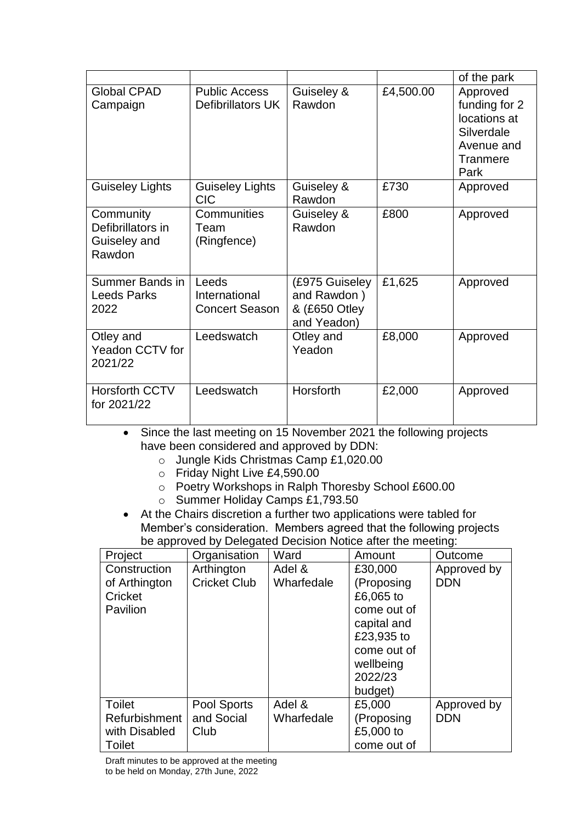|                                                          |                                                 |                                                               |           | of the park                                                                               |
|----------------------------------------------------------|-------------------------------------------------|---------------------------------------------------------------|-----------|-------------------------------------------------------------------------------------------|
| <b>Global CPAD</b><br>Campaign                           | <b>Public Access</b><br>Defibrillators UK       | Guiseley &<br>Rawdon                                          | £4,500.00 | Approved<br>funding for 2<br>locations at<br>Silverdale<br>Avenue and<br>Tranmere<br>Park |
| <b>Guiseley Lights</b>                                   | <b>Guiseley Lights</b><br><b>CIC</b>            | Guiseley &<br>Rawdon                                          | £730      | Approved                                                                                  |
| Community<br>Defibrillators in<br>Guiseley and<br>Rawdon | Communities<br>Team<br>(Ringfence)              | Guiseley &<br>Rawdon                                          | £800      | Approved                                                                                  |
| Summer Bands in<br><b>Leeds Parks</b><br>2022            | Leeds<br>International<br><b>Concert Season</b> | (£975 Guiseley<br>and Rawdon)<br>& (£650 Otley<br>and Yeadon) | £1,625    | Approved                                                                                  |
| Otley and<br><b>Yeadon CCTV for</b><br>2021/22           | Leedswatch                                      | Otley and<br>Yeadon                                           | £8,000    | Approved                                                                                  |
| <b>Horsforth CCTV</b><br>for 2021/22                     | Leedswatch                                      | Horsforth                                                     | £2,000    | Approved                                                                                  |

• Since the last meeting on 15 November 2021 the following projects have been considered and approved by DDN:

- o Jungle Kids Christmas Camp £1,020.00
- o Friday Night Live £4,590.00
- o Poetry Workshops in Ralph Thoresby School £600.00
- o Summer Holiday Camps £1,793.50
- At the Chairs discretion a further two applications were tabled for Member's consideration. Members agreed that the following projects be approved by Delegated Decision Notice after the meeting:

| Project                                                          | ັ<br>Organisation                 | Ward                 | Amount                                                                                                                           | Outcome                   |
|------------------------------------------------------------------|-----------------------------------|----------------------|----------------------------------------------------------------------------------------------------------------------------------|---------------------------|
| Construction<br>of Arthington<br>Cricket<br>Pavilion             | Arthington<br><b>Cricket Club</b> | Adel &<br>Wharfedale | £30,000<br>(Proposing<br>£6,065 to<br>come out of<br>capital and<br>£23,935 to<br>come out of<br>wellbeing<br>2022/23<br>budget) | Approved by<br><b>DDN</b> |
| <b>Toilet</b><br><b>Refurbishment</b><br>with Disabled<br>Toilet | Pool Sports<br>and Social<br>Club | Adel &<br>Wharfedale | £5,000<br>(Proposing<br>£5,000 to<br>come out of                                                                                 | Approved by<br><b>DDN</b> |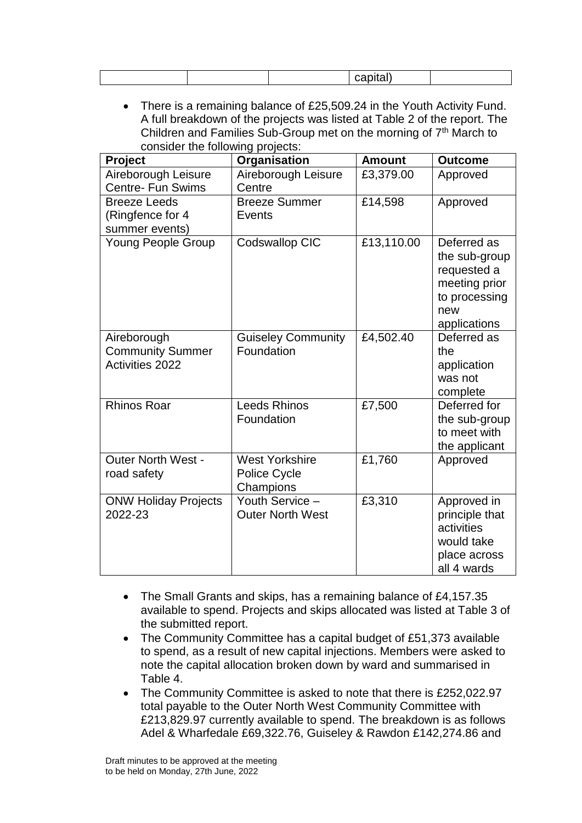There is a remaining balance of £25,509.24 in the Youth Activity Fund. A full breakdown of the projects was listed at Table 2 of the report. The Children and Families Sub-Group met on the morning of  $7<sup>th</sup>$  March to consider the following projects:

| shorder are rememing projector                            |                                                           |               |                                                                                                      |
|-----------------------------------------------------------|-----------------------------------------------------------|---------------|------------------------------------------------------------------------------------------------------|
| <b>Project</b>                                            | Organisation                                              | <b>Amount</b> | <b>Outcome</b>                                                                                       |
| Aireborough Leisure<br><b>Centre- Fun Swims</b>           | Aireborough Leisure<br>Centre                             | £3,379.00     | Approved                                                                                             |
| <b>Breeze Leeds</b><br>(Ringfence for 4<br>summer events) | <b>Breeze Summer</b><br>Events                            | £14,598       | Approved                                                                                             |
| <b>Young People Group</b>                                 | Codswallop CIC                                            | £13,110.00    | Deferred as<br>the sub-group<br>requested a<br>meeting prior<br>to processing<br>new<br>applications |
| Aireborough<br><b>Community Summer</b><br>Activities 2022 | <b>Guiseley Community</b><br>Foundation                   | £4,502.40     | Deferred as<br>the<br>application<br>was not<br>complete                                             |
| <b>Rhinos Roar</b>                                        | <b>Leeds Rhinos</b><br>Foundation                         | £7,500        | Deferred for<br>the sub-group<br>to meet with<br>the applicant                                       |
| <b>Outer North West -</b><br>road safety                  | <b>West Yorkshire</b><br><b>Police Cycle</b><br>Champions | £1,760        | Approved                                                                                             |
| <b>ONW Holiday Projects</b><br>2022-23                    | Youth Service -<br><b>Outer North West</b>                | £3,310        | Approved in<br>principle that<br>activities<br>would take<br>place across<br>all 4 wards             |

- The Small Grants and skips, has a remaining balance of £4,157.35 available to spend. Projects and skips allocated was listed at Table 3 of the submitted report.
- The Community Committee has a capital budget of £51,373 available to spend, as a result of new capital injections. Members were asked to note the capital allocation broken down by ward and summarised in Table 4.
- The Community Committee is asked to note that there is £252,022.97 total payable to the Outer North West Community Committee with £213,829.97 currently available to spend. The breakdown is as follows Adel & Wharfedale £69,322.76, Guiseley & Rawdon £142,274.86 and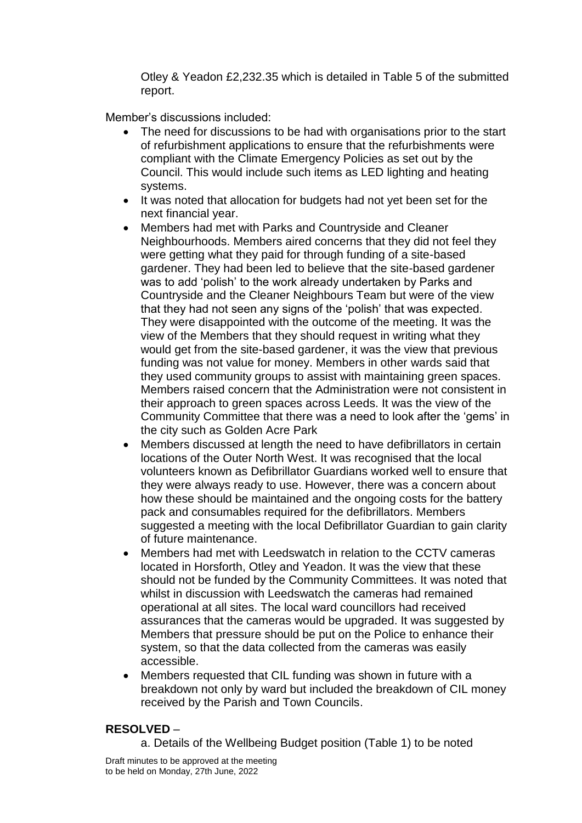Otley & Yeadon £2,232.35 which is detailed in Table 5 of the submitted report.

Member's discussions included:

- The need for discussions to be had with organisations prior to the start of refurbishment applications to ensure that the refurbishments were compliant with the Climate Emergency Policies as set out by the Council. This would include such items as LED lighting and heating systems.
- It was noted that allocation for budgets had not yet been set for the next financial year.
- Members had met with Parks and Countryside and Cleaner Neighbourhoods. Members aired concerns that they did not feel they were getting what they paid for through funding of a site-based gardener. They had been led to believe that the site-based gardener was to add 'polish' to the work already undertaken by Parks and Countryside and the Cleaner Neighbours Team but were of the view that they had not seen any signs of the 'polish' that was expected. They were disappointed with the outcome of the meeting. It was the view of the Members that they should request in writing what they would get from the site-based gardener, it was the view that previous funding was not value for money. Members in other wards said that they used community groups to assist with maintaining green spaces. Members raised concern that the Administration were not consistent in their approach to green spaces across Leeds. It was the view of the Community Committee that there was a need to look after the 'gems' in the city such as Golden Acre Park
- Members discussed at length the need to have defibrillators in certain locations of the Outer North West. It was recognised that the local volunteers known as Defibrillator Guardians worked well to ensure that they were always ready to use. However, there was a concern about how these should be maintained and the ongoing costs for the battery pack and consumables required for the defibrillators. Members suggested a meeting with the local Defibrillator Guardian to gain clarity of future maintenance.
- Members had met with Leedswatch in relation to the CCTV cameras located in Horsforth, Otley and Yeadon. It was the view that these should not be funded by the Community Committees. It was noted that whilst in discussion with Leedswatch the cameras had remained operational at all sites. The local ward councillors had received assurances that the cameras would be upgraded. It was suggested by Members that pressure should be put on the Police to enhance their system, so that the data collected from the cameras was easily accessible.
- Members requested that CIL funding was shown in future with a breakdown not only by ward but included the breakdown of CIL money received by the Parish and Town Councils.

# **RESOLVED** –

a. Details of the Wellbeing Budget position (Table 1) to be noted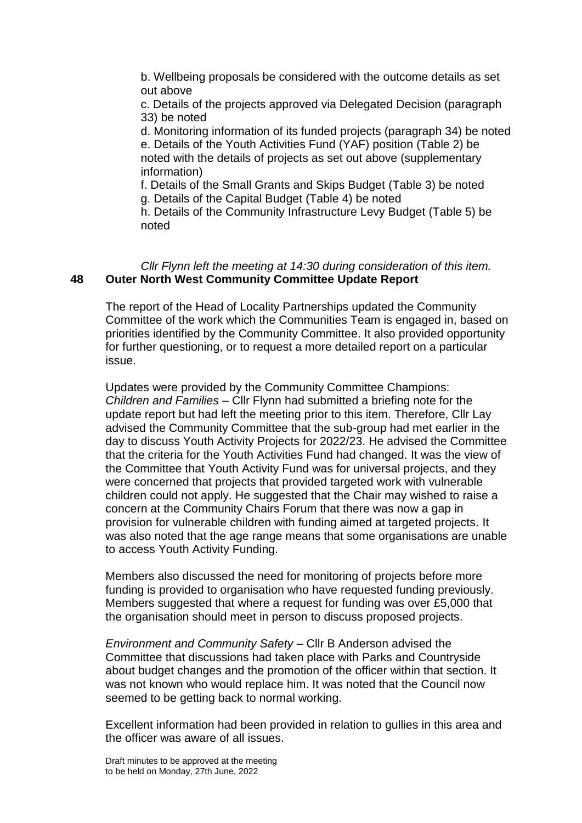b. Wellbeing proposals be considered with the outcome details as set out above

c. Details of the projects approved via Delegated Decision (paragraph 33) be noted

d. Monitoring information of its funded projects (paragraph 34) be noted e. Details of the Youth Activities Fund (YAF) position (Table 2) be noted with the details of projects as set out above (supplementary information)

f. Details of the Small Grants and Skips Budget (Table 3) be noted g. Details of the Capital Budget (Table 4) be noted

h. Details of the Community Infrastructure Levy Budget (Table 5) be noted

#### *Cllr Flynn left the meeting at 14:30 during consideration of this item.* **48 Outer North West Community Committee Update Report**

The report of the Head of Locality Partnerships updated the Community Committee of the work which the Communities Team is engaged in, based on priorities identified by the Community Committee. It also provided opportunity for further questioning, or to request a more detailed report on a particular issue.

Updates were provided by the Community Committee Champions: *Children and Families* – Cllr Flynn had submitted a briefing note for the update report but had left the meeting prior to this item. Therefore, Cllr Lay advised the Community Committee that the sub-group had met earlier in the day to discuss Youth Activity Projects for 2022/23. He advised the Committee that the criteria for the Youth Activities Fund had changed. It was the view of the Committee that Youth Activity Fund was for universal projects, and they were concerned that projects that provided targeted work with vulnerable children could not apply. He suggested that the Chair may wished to raise a concern at the Community Chairs Forum that there was now a gap in provision for vulnerable children with funding aimed at targeted projects. It was also noted that the age range means that some organisations are unable to access Youth Activity Funding.

Members also discussed the need for monitoring of projects before more funding is provided to organisation who have requested funding previously. Members suggested that where a request for funding was over £5,000 that the organisation should meet in person to discuss proposed projects.

*Environment and Community Safety* – Cllr B Anderson advised the Committee that discussions had taken place with Parks and Countryside about budget changes and the promotion of the officer within that section. It was not known who would replace him. It was noted that the Council now seemed to be getting back to normal working.

Excellent information had been provided in relation to gullies in this area and the officer was aware of all issues.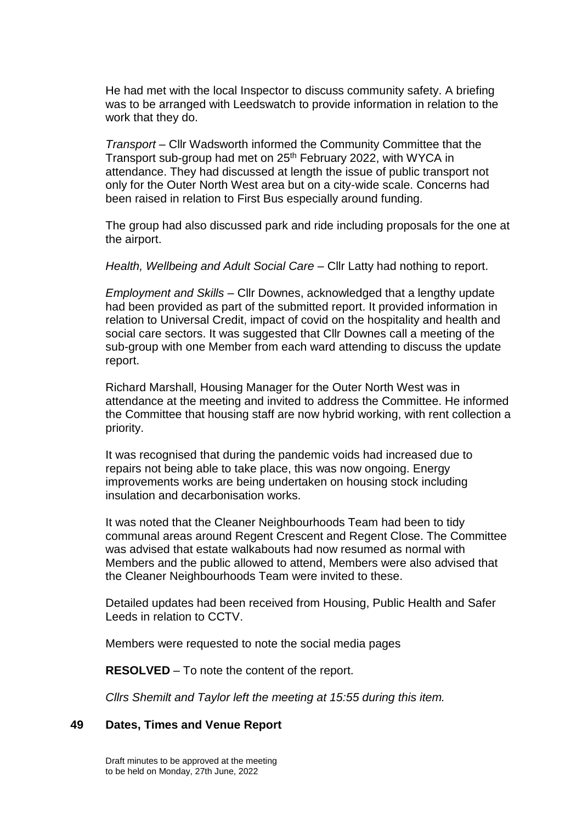He had met with the local Inspector to discuss community safety. A briefing was to be arranged with Leedswatch to provide information in relation to the work that they do.

*Transport* – Cllr Wadsworth informed the Community Committee that the Transport sub-group had met on 25<sup>th</sup> February 2022, with WYCA in attendance. They had discussed at length the issue of public transport not only for the Outer North West area but on a city-wide scale. Concerns had been raised in relation to First Bus especially around funding.

The group had also discussed park and ride including proposals for the one at the airport.

*Health, Wellbeing and Adult Social Care* – Cllr Latty had nothing to report.

*Employment and Skills* – Cllr Downes, acknowledged that a lengthy update had been provided as part of the submitted report. It provided information in relation to Universal Credit, impact of covid on the hospitality and health and social care sectors. It was suggested that Cllr Downes call a meeting of the sub-group with one Member from each ward attending to discuss the update report.

Richard Marshall, Housing Manager for the Outer North West was in attendance at the meeting and invited to address the Committee. He informed the Committee that housing staff are now hybrid working, with rent collection a priority.

It was recognised that during the pandemic voids had increased due to repairs not being able to take place, this was now ongoing. Energy improvements works are being undertaken on housing stock including insulation and decarbonisation works.

It was noted that the Cleaner Neighbourhoods Team had been to tidy communal areas around Regent Crescent and Regent Close. The Committee was advised that estate walkabouts had now resumed as normal with Members and the public allowed to attend, Members were also advised that the Cleaner Neighbourhoods Team were invited to these.

Detailed updates had been received from Housing, Public Health and Safer Leeds in relation to CCTV.

Members were requested to note the social media pages

**RESOLVED** – To note the content of the report.

*Cllrs Shemilt and Taylor left the meeting at 15:55 during this item.*

#### **49 Dates, Times and Venue Report**